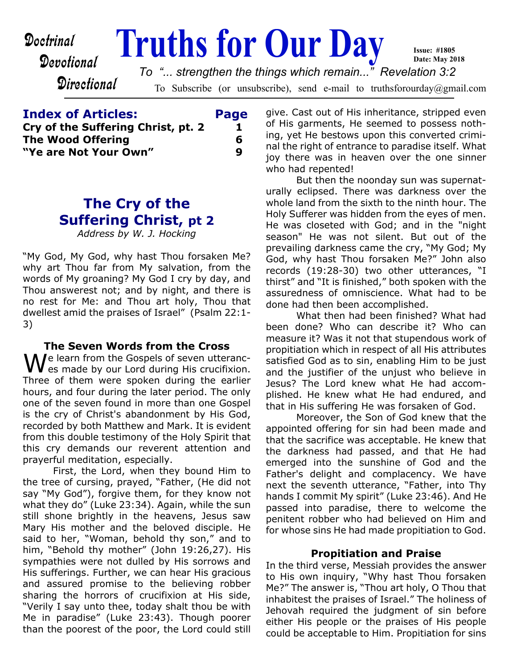# Devotional

**Directional** 

**Doctrinal Truths for Our Day** To Subscribe (or unsubscribe), send e-mail to truthsforourday@gmail.com **Date: May 2018** *To "... strengthen the things which remain..." Revelation 3:2*

| <b>Index of Articles:</b>          | Page |
|------------------------------------|------|
| Cry of the Suffering Christ, pt. 2 | ı    |
| <b>The Wood Offering</b>           | 6    |
| "Ye are Not Your Own"              | q    |
|                                    |      |

# **The Cry of the Suffering Christ, pt 2**

*Address by W. J. Hocking*

"My God, My God, why hast Thou forsaken Me? why art Thou far from My salvation, from the words of My groaning? My God I cry by day, and Thou answerest not; and by night, and there is no rest for Me: and Thou art holy, Thou that dwellest amid the praises of Israel" (Psalm 22:1- 3)

### **The Seven Words from the Cross**

We learn from the Gospels of seven utteranc-<br>Example by our Lord during His crucifixion. Three of them were spoken during the earlier hours, and four during the later period. The only one of the seven found in more than one Gospel is the cry of Christ's abandonment by His God, recorded by both Matthew and Mark. It is evident from this double testimony of the Holy Spirit that this cry demands our reverent attention and prayerful meditation, especially.

 First, the Lord, when they bound Him to the tree of cursing, prayed, "Father, (He did not say "My God"), forgive them, for they know not what they do" (Luke 23:34). Again, while the sun still shone brightly in the heavens, Jesus saw Mary His mother and the beloved disciple. He said to her, "Woman, behold thy son," and to him, "Behold thy mother" (John 19:26,27). His sympathies were not dulled by His sorrows and His sufferings. Further, we can hear His gracious and assured promise to the believing robber sharing the horrors of crucifixion at His side, "Verily I say unto thee, today shalt thou be with Me in paradise" (Luke 23:43). Though poorer than the poorest of the poor, the Lord could still

give. Cast out of His inheritance, stripped even of His garments, He seemed to possess nothing, yet He bestows upon this converted criminal the right of entrance to paradise itself. What joy there was in heaven over the one sinner who had repented!

**Issue: #1805**

But then the noonday sun was supernaturally eclipsed. There was darkness over the whole land from the sixth to the ninth hour. The Holy Sufferer was hidden from the eyes of men. He was closeted with God; and in the "night season" He was not silent. But out of the prevailing darkness came the cry, "My God; My God, why hast Thou forsaken Me?" John also records (19:28-30) two other utterances, "I thirst" and "It is finished," both spoken with the assuredness of omniscience. What had to be done had then been accomplished.

 What then had been finished? What had been done? Who can describe it? Who can measure it? Was it not that stupendous work of propitiation which in respect of all His attributes satisfied God as to sin, enabling Him to be just and the justifier of the unjust who believe in Jesus? The Lord knew what He had accomplished. He knew what He had endured, and that in His suffering He was forsaken of God.

 Moreover, the Son of God knew that the appointed offering for sin had been made and that the sacrifice was acceptable. He knew that the darkness had passed, and that He had emerged into the sunshine of God and the Father's delight and complacency. We have next the seventh utterance, "Father, into Thy hands I commit My spirit" (Luke 23:46). And He passed into paradise, there to welcome the penitent robber who had believed on Him and for whose sins He had made propitiation to God.

### **Propitiation and Praise**

In the third verse, Messiah provides the answer to His own inquiry, "Why hast Thou forsaken Me?" The answer is, "Thou art holy, O Thou that inhabitest the praises of Israel." The holiness of Jehovah required the judgment of sin before either His people or the praises of His people could be acceptable to Him. Propitiation for sins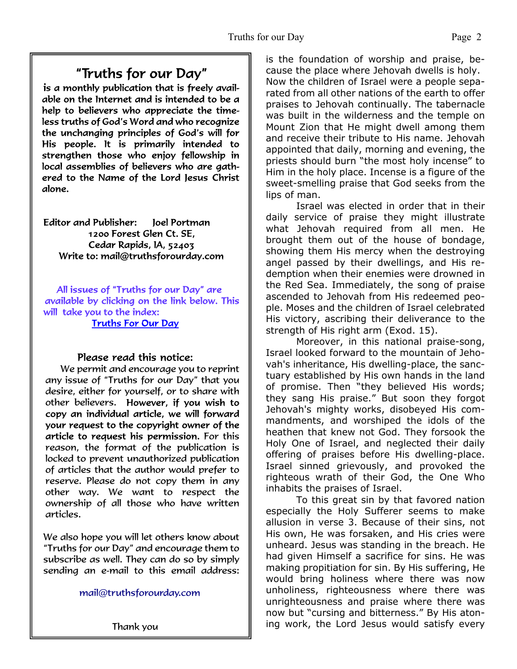"Truths for our Day"

is a monthly publication that is freely available on the Internet and is intended to be a help to believers who appreciate the timeless truths of God's Word and who recognize the unchanging principles of God's will for His people. It is primarily intended to strengthen those who enjoy fellowship in local assemblies of believers who are gathered to the Name of the Lord Jesus Christ alone.

Editor and Publisher: loel Portman 1200 Forest Glen Ct. SE. Cedar Rapids, IA, 52403 Write to: mail@truthsforourday.com

All issues of "Truths for our Day" are available by clicking on the link below. This will take you to the index: **Truths For Our Day** 

### Please read this notice:

We permit and encourage you to reprint any issue of "Truths for our Day" that you desire, either for yourself, or to share with other believers. However, if you wish to<br>copy an individual article, we will forward your request to the copyright owner of the article to request his permission. For this reason, the format of the publication is locked to prevent unauthorized publication of articles that the author would prefer to reserve. Please do not copy them in any other way. We want to respect the ownership of all those who have written articles.

 We also hope you will let others know about "Truths for our Day" and encourage them to subscribe as well. They can do so by simply sending an e-mail to this email address:

mail@truthsforourday.com

Thank you

is the foundation of worship and praise, because the place where Jehovah dwells is holy. Now the children of Israel were a people separated from all other nations of the earth to offer praises to Jehovah continually. The tabernacle was built in the wilderness and the temple on Mount Zion that He might dwell among them and receive their tribute to His name. Jehovah appointed that daily, morning and evening, the priests should burn "the most holy incense" to Him in the holy place. Incense is a figure of the sweet-smelling praise that God seeks from the lips of man.

Israel was elected in order that in their daily service of praise they might illustrate what Jehovah required from all men. He brought them out of the house of bondage, showing them His mercy when the destroying angel passed by their dwellings, and His redemption when their enemies were drowned in the Red Sea. Immediately, the song of praise ascended to Jehovah from His redeemed people. Moses and the children of Israel celebrated His victory, ascribing their deliverance to the strength of His right arm (Exod. 15).

 Moreover, in this national praise-song, Israel looked forward to the mountain of Jehovah's inheritance, His dwelling-place, the sanctuary established by His own hands in the land of promise. Then "they believed His words; they sang His praise." But soon they forgot Jehovah's mighty works, disobeyed His commandments, and worshiped the idols of the heathen that knew not God. They forsook the Holy One of Israel, and neglected their daily offering of praises before His dwelling-place. Israel sinned grievously, and provoked the righteous wrath of their God, the One Who inhabits the praises of Israel.

 To this great sin by that favored nation especially the Holy Sufferer seems to make allusion in verse 3. Because of their sins, not His own, He was forsaken, and His cries were unheard. Jesus was standing in the breach. He had given Himself a sacrifice for sins. He was making propitiation for sin. By His suffering, He would bring holiness where there was now unholiness, righteousness where there was unrighteousness and praise where there was now but "cursing and bitterness." By His atoning work, the Lord Jesus would satisfy every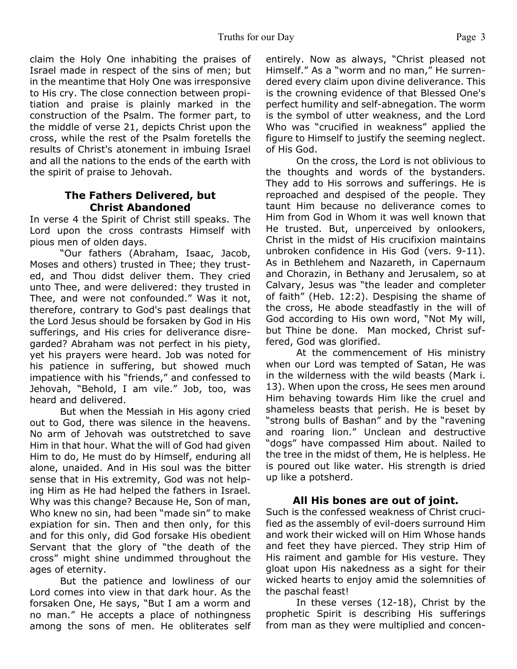claim the Holy One inhabiting the praises of Israel made in respect of the sins of men; but in the meantime that Holy One was irresponsive to His cry. The close connection between propitiation and praise is plainly marked in the construction of the Psalm. The former part, to the middle of verse 21, depicts Christ upon the cross, while the rest of the Psalm foretells the results of Christ's atonement in imbuing Israel and all the nations to the ends of the earth with the spirit of praise to Jehovah.

## **The Fathers Delivered, but Christ Abandoned**

In verse 4 the Spirit of Christ still speaks. The Lord upon the cross contrasts Himself with pious men of olden days.

 "Our fathers (Abraham, Isaac, Jacob, Moses and others) trusted in Thee; they trusted, and Thou didst deliver them. They cried unto Thee, and were delivered: they trusted in Thee, and were not confounded." Was it not, therefore, contrary to God's past dealings that the Lord Jesus should be forsaken by God in His sufferings, and His cries for deliverance disregarded? Abraham was not perfect in his piety, yet his prayers were heard. Job was noted for his patience in suffering, but showed much impatience with his "friends," and confessed to Jehovah, "Behold, I am vile." Job, too, was heard and delivered.

 But when the Messiah in His agony cried out to God, there was silence in the heavens. No arm of Jehovah was outstretched to save Him in that hour. What the will of God had given Him to do, He must do by Himself, enduring all alone, unaided. And in His soul was the bitter sense that in His extremity, God was not helping Him as He had helped the fathers in Israel. Why was this change? Because He, Son of man, Who knew no sin, had been "made sin" to make expiation for sin. Then and then only, for this and for this only, did God forsake His obedient Servant that the glory of "the death of the cross" might shine undimmed throughout the ages of eternity.

 But the patience and lowliness of our Lord comes into view in that dark hour. As the forsaken One, He says, "But I am a worm and no man." He accepts a place of nothingness among the sons of men. He obliterates self entirely. Now as always, "Christ pleased not Himself." As a "worm and no man," He surrendered every claim upon divine deliverance. This is the crowning evidence of that Blessed One's perfect humility and self-abnegation. The worm is the symbol of utter weakness, and the Lord Who was "crucified in weakness" applied the figure to Himself to justify the seeming neglect. of His God.

On the cross, the Lord is not oblivious to the thoughts and words of the bystanders. They add to His sorrows and sufferings. He is reproached and despised of the people. They taunt Him because no deliverance comes to Him from God in Whom it was well known that He trusted. But, unperceived by onlookers, Christ in the midst of His crucifixion maintains unbroken confidence in His God (vers. 9-11). As in Bethlehem and Nazareth, in Capernaum and Chorazin, in Bethany and Jerusalem, so at Calvary, Jesus was "the leader and completer of faith" (Heb. 12:2). Despising the shame of the cross, He abode steadfastly in the will of God according to His own word, "Not My will, but Thine be done. Man mocked, Christ suffered, God was glorified.

 At the commencement of His ministry when our Lord was tempted of Satan, He was in the wilderness with the wild beasts (Mark i. 13). When upon the cross, He sees men around Him behaving towards Him like the cruel and shameless beasts that perish. He is beset by "strong bulls of Bashan" and by the "ravening and roaring lion." Unclean and destructive "dogs" have compassed Him about. Nailed to the tree in the midst of them, He is helpless. He is poured out like water. His strength is dried up like a potsherd.

## **All His bones are out of joint.**

Such is the confessed weakness of Christ crucified as the assembly of evil-doers surround Him and work their wicked will on Him Whose hands and feet they have pierced. They strip Him of His raiment and gamble for His vesture. They gloat upon His nakedness as a sight for their wicked hearts to enjoy amid the solemnities of the paschal feast!

 In these verses (12-18), Christ by the prophetic Spirit is describing His sufferings from man as they were multiplied and concen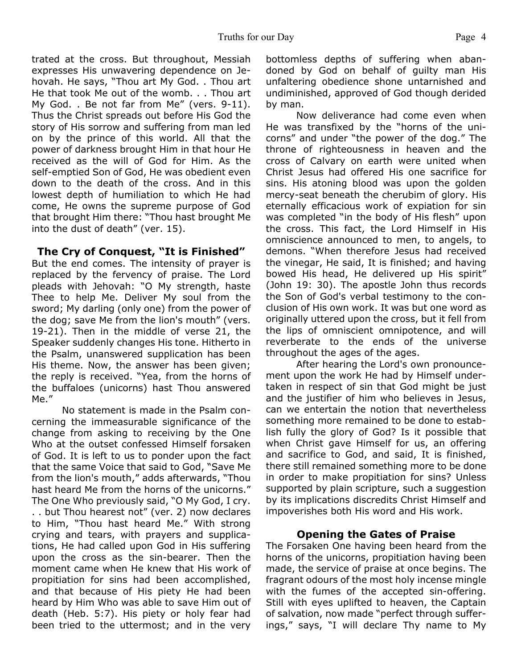trated at the cross. But throughout, Messiah expresses His unwavering dependence on Jehovah. He says, "Thou art My God. . Thou art He that took Me out of the womb. . . Thou art My God. . Be not far from Me" (vers. 9-11). Thus the Christ spreads out before His God the story of His sorrow and suffering from man led on by the prince of this world. All that the power of darkness brought Him in that hour He received as the will of God for Him. As the self-emptied Son of God, He was obedient even down to the death of the cross. And in this lowest depth of humiliation to which He had come, He owns the supreme purpose of God that brought Him there: "Thou hast brought Me into the dust of death" (ver. 15).

## **The Cry of Conquest, "It is Finished"**

But the end comes. The intensity of prayer is replaced by the fervency of praise. The Lord pleads with Jehovah: "O My strength, haste Thee to help Me. Deliver My soul from the sword; My darling (only one) from the power of the dog; save Me from the lion's mouth" (vers. 19-21). Then in the middle of verse 21, the Speaker suddenly changes His tone. Hitherto in the Psalm, unanswered supplication has been His theme. Now, the answer has been given; the reply is received. "Yea, from the horns of the buffaloes (unicorns) hast Thou answered Me."

 No statement is made in the Psalm concerning the immeasurable significance of the change from asking to receiving by the One Who at the outset confessed Himself forsaken of God. It is left to us to ponder upon the fact that the same Voice that said to God, "Save Me from the lion's mouth," adds afterwards, "Thou hast heard Me from the horns of the unicorns." The One Who previously said, "O My God, I cry. . . but Thou hearest not" (ver. 2) now declares to Him, "Thou hast heard Me." With strong crying and tears, with prayers and supplications, He had called upon God in His suffering upon the cross as the sin-bearer. Then the moment came when He knew that His work of propitiation for sins had been accomplished, and that because of His piety He had been heard by Him Who was able to save Him out of death (Heb. 5:7). His piety or holy fear had been tried to the uttermost; and in the very bottomless depths of suffering when abandoned by God on behalf of guilty man His unfaltering obedience shone untarnished and undiminished, approved of God though derided by man.

 Now deliverance had come even when He was transfixed by the "horns of the unicorns" and under "the power of the dog." The throne of righteousness in heaven and the cross of Calvary on earth were united when Christ Jesus had offered His one sacrifice for sins. His atoning blood was upon the golden mercy-seat beneath the cherubim of glory. His eternally efficacious work of expiation for sin was completed "in the body of His flesh" upon the cross. This fact, the Lord Himself in His omniscience announced to men, to angels, to demons. "When therefore Jesus had received the vinegar, He said, It is finished; and having bowed His head, He delivered up His spirit" (John 19: 30). The apostle John thus records the Son of God's verbal testimony to the conclusion of His own work. It was but one word as originally uttered upon the cross, but it fell from the lips of omniscient omnipotence, and will reverberate to the ends of the universe throughout the ages of the ages.

 After hearing the Lord's own pronouncement upon the work He had by Himself undertaken in respect of sin that God might be just and the justifier of him who believes in Jesus, can we entertain the notion that nevertheless something more remained to be done to establish fully the glory of God? Is it possible that when Christ gave Himself for us, an offering and sacrifice to God, and said, It is finished, there still remained something more to be done in order to make propitiation for sins? Unless supported by plain scripture, such a suggestion by its implications discredits Christ Himself and impoverishes both His word and His work.

### **Opening the Gates of Praise**

The Forsaken One having been heard from the horns of the unicorns, propitiation having been made, the service of praise at once begins. The fragrant odours of the most holy incense mingle with the fumes of the accepted sin-offering. Still with eyes uplifted to heaven, the Captain of salvation, now made "perfect through sufferings," says, "I will declare Thy name to My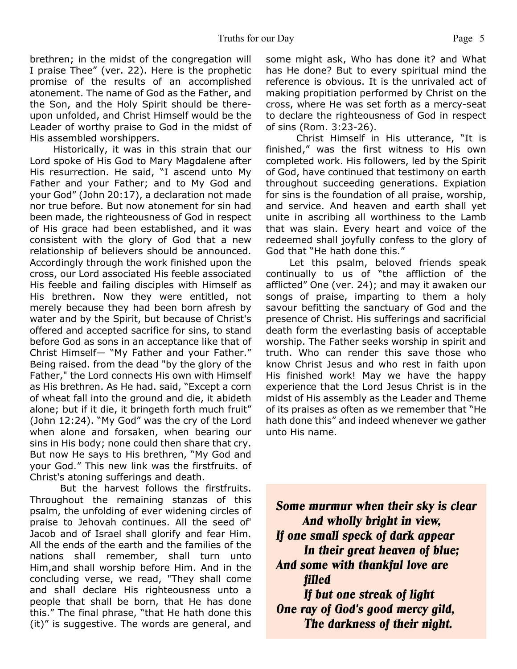brethren; in the midst of the congregation will I praise Thee" (ver. 22). Here is the prophetic promise of the results of an accomplished atonement. The name of God as the Father, and the Son, and the Holy Spirit should be thereupon unfolded, and Christ Himself would be the Leader of worthy praise to God in the midst of His assembled worshippers.

 Historically, it was in this strain that our Lord spoke of His God to Mary Magdalene after His resurrection. He said, "I ascend unto My Father and your Father; and to My God and your God" (John 20:17), a declaration not made nor true before. But now atonement for sin had been made, the righteousness of God in respect of His grace had been established, and it was consistent with the glory of God that a new relationship of believers should be announced. Accordingly through the work finished upon the cross, our Lord associated His feeble associated His feeble and failing disciples with Himself as His brethren. Now they were entitled, not merely because they had been born afresh by water and by the Spirit, but because of Christ's offered and accepted sacrifice for sins, to stand before God as sons in an acceptance like that of Christ Himself— "My Father and your Father." Being raised. from the dead "by the glory of the Father," the Lord connects His own with Himself as His brethren. As He had. said, "Except a corn of wheat fall into the ground and die, it abideth alone; but if it die, it bringeth forth much fruit" (John 12:24). "My God" was the cry of the Lord when alone and forsaken, when bearing our sins in His body; none could then share that cry. But now He says to His brethren, "My God and your God." This new link was the firstfruits. of Christ's atoning sufferings and death.

But the harvest follows the firstfruits. Throughout the remaining stanzas of this psalm, the unfolding of ever widening circles of praise to Jehovah continues. All the seed of' Jacob and of Israel shall glorify and fear Him. All the ends of the earth and the families of the nations shall remember, shall turn unto Him,and shall worship before Him. And in the concluding verse, we read, "They shall come and shall declare His righteousness unto a people that shall be born, that He has done this." The final phrase, "that He hath done this (it)" is suggestive. The words are general, and some might ask, Who has done it? and What has He done? But to every spiritual mind the reference is obvious. It is the unrivaled act of making propitiation performed by Christ on the cross, where He was set forth as a mercy-seat to declare the righteousness of God in respect of sins (Rom. 3:23-26).

 Christ Himself in His utterance, "It is finished," was the first witness to His own completed work. His followers, led by the Spirit of God, have continued that testimony on earth throughout succeeding generations. Expiation for sins is the foundation of all praise, worship, and service. And heaven and earth shall yet unite in ascribing all worthiness to the Lamb that was slain. Every heart and voice of the redeemed shall joyfully confess to the glory of God that "He hath done this."

 Let this psalm, beloved friends speak continually to us of "the affliction of the afflicted" One (ver. 24); and may it awaken our songs of praise, imparting to them a holy savour befitting the sanctuary of God and the presence of Christ. His sufferings and sacrificial death form the everlasting basis of acceptable worship. The Father seeks worship in spirit and truth. Who can render this save those who know Christ Jesus and who rest in faith upon His finished work! May we have the happy experience that the Lord Jesus Christ is in the midst of His assembly as the Leader and Theme of its praises as often as we remember that "He hath done this" and indeed whenever we gather unto His name.

*Some murmur when their sky is clear And wholly bright in view, If one small speck of dark appear In their great heaven of blue; And some with thankful love are filled If but one streak of light One ray of God's good mercy gild,*

 *The darkness of their night.*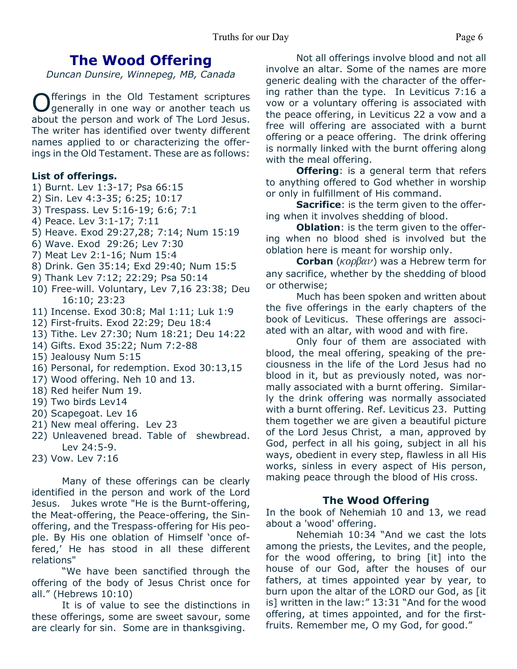# **The Wood Offering**

*Duncan Dunsire, Winnepeg, MB, Canada*

Offerings in the Old Testament scriptures<br>Ogenerally in one way or another teach us fferings in the Old Testament scriptures about the person and work of The Lord Jesus. The writer has identified over twenty different names applied to or characterizing the offerings in the Old Testament. These are as follows:

### **List of offerings.**

- 1) Burnt. Lev 1:3-17; Psa 66:15
- 2) Sin. Lev 4:3-35; 6:25; 10:17
- 3) Trespass. Lev 5:16-19; 6:6; 7:1
- 4) Peace. Lev 3:1-17; 7:11
- 5) Heave. Exod 29:27,28; 7:14; Num 15:19
- 6) Wave. Exod 29:26; Lev 7:30
- 7) Meat Lev 2:1-16; Num 15:4
- 8) Drink. Gen 35:14; Exd 29:40; Num 15:5
- 9) Thank Lev 7:12; 22:29; Psa 50:14
- 10) Free-will. Voluntary, Lev 7,16 23:38; Deu 16:10; 23:23
- 11) Incense. Exod 30:8; Mal 1:11; Luk 1:9
- 12) First-fruits. Exod 22:29; Deu 18:4
- 13) Tithe. Lev 27:30; Num 18:21; Deu 14:22
- 14) Gifts. Exod 35:22; Num 7:2-88
- 15) Jealousy Num 5:15
- 16) Personal, for redemption. Exod 30:13,15
- 17) Wood offering. Neh 10 and 13.
- 18) Red heifer Num 19.
- 19) Two birds Lev14
- 20) Scapegoat. Lev 16
- 21) New meal offering. Lev 23
- 22) Unleavened bread. Table of shewbread. Lev 24:5-9.
- 23) Vow. Lev 7:16

 Many of these offerings can be clearly identified in the person and work of the Lord Jesus. Jukes wrote "He is the Burnt-offering, the Meat-offering, the Peace-offering, the Sinoffering, and the Trespass-offering for His people. By His one oblation of Himself 'once offered,' He has stood in all these different relations"

 "We have been sanctified through the offering of the body of Jesus Christ once for all." (Hebrews 10:10)

 It is of value to see the distinctions in these offerings, some are sweet savour, some are clearly for sin. Some are in thanksgiving.

 Not all offerings involve blood and not all involve an altar. Some of the names are more generic dealing with the character of the offering rather than the type. In Leviticus 7:16 a vow or a voluntary offering is associated with the peace offering, in Leviticus 22 a vow and a free will offering are associated with a burnt offering or a peace offering. The drink offering is normally linked with the burnt offering along with the meal offering.

**Offering**: is a general term that refers to anything offered to God whether in worship or only in fulfillment of His command.

**Sacrifice**: is the term given to the offering when it involves shedding of blood.

**Oblation**: is the term given to the offering when no blood shed is involved but the oblation here is meant for worship only.

**Corban** ( $\kappa$ op $\beta$  $\alpha$  $\nu$ ) was a Hebrew term for any sacrifice, whether by the shedding of blood or otherwise;

Much has been spoken and written about the five offerings in the early chapters of the book of Leviticus. These offerings are associated with an altar, with wood and with fire.

 Only four of them are associated with blood, the meal offering, speaking of the preciousness in the life of the Lord Jesus had no blood in it, but as previously noted, was normally associated with a burnt offering. Similarly the drink offering was normally associated with a burnt offering. Ref. Leviticus 23. Putting them together we are given a beautiful picture of the Lord Jesus Christ, a man, approved by God, perfect in all his going, subject in all his ways, obedient in every step, flawless in all His works, sinless in every aspect of His person, making peace through the blood of His cross.

## **The Wood Offering**

In the book of Nehemiah 10 and 13, we read about a 'wood' offering.

 Nehemiah 10:34 "And we cast the lots among the priests, the Levites, and the people, for the wood offering, to bring [it] into the house of our God, after the houses of our fathers, at times appointed year by year, to burn upon the altar of the LORD our God, as [it is] written in the law:" 13:31 "And for the wood offering, at times appointed, and for the firstfruits. Remember me, O my God, for good."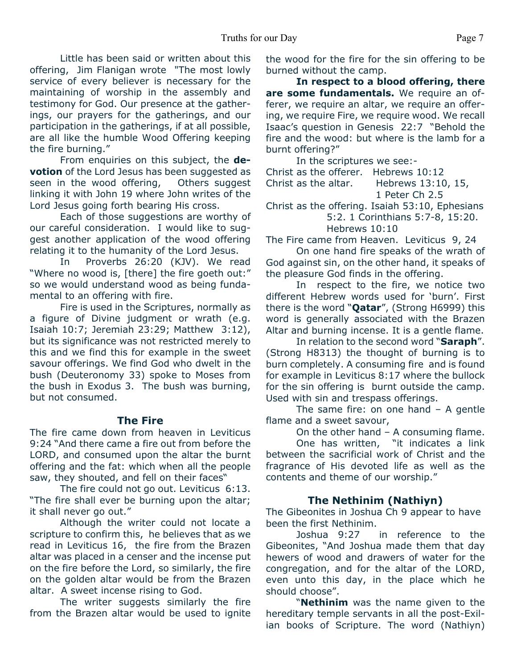### Truths for our Day Page 7

 Little has been said or written about this offering, Jim Flanigan wrote "The most lowly service of every believer is necessary for the maintaining of worship in the assembly and testimony for God. Our presence at the gatherings, our prayers for the gatherings, and our participation in the gatherings, if at all possible, are all like the humble Wood Offering keeping the fire burning."

 From enquiries on this subject, the **devotion** of the Lord Jesus has been suggested as seen in the wood offering, Others suggest linking it with John 19 where John writes of the Lord Jesus going forth bearing His cross.

 Each of those suggestions are worthy of our careful consideration. I would like to suggest another application of the wood offering relating it to the humanity of the Lord Jesus.

 In Proverbs 26:20 (KJV). We read "Where no wood is, [there] the fire goeth out:" so we would understand wood as being fundamental to an offering with fire.

 Fire is used in the Scriptures, normally as a figure of Divine judgment or wrath (e.g. Isaiah 10:7; Jeremiah 23:29; Matthew 3:12), but its significance was not restricted merely to this and we find this for example in the sweet savour offerings. We find God who dwelt in the bush (Deuteronomy 33) spoke to Moses from the bush in Exodus 3. The bush was burning, but not consumed.

### **The Fire**

The fire came down from heaven in Leviticus 9:24 "And there came a fire out from before the LORD, and consumed upon the altar the burnt offering and the fat: which when all the people saw, they shouted, and fell on their faces"

 The fire could not go out. Leviticus 6:13. "The fire shall ever be burning upon the altar; it shall never go out."

 Although the writer could not locate a scripture to confirm this, he believes that as we read in Leviticus 16, the fire from the Brazen altar was placed in a censer and the incense put on the fire before the Lord, so similarly, the fire on the golden altar would be from the Brazen altar. A sweet incense rising to God.

 The writer suggests similarly the fire from the Brazen altar would be used to ignite

the wood for the fire for the sin offering to be burned without the camp.

 **In respect to a blood offering, there are some fundamentals.** We require an offerer, we require an altar, we require an offering, we require Fire, we require wood. We recall Isaac's question in Genesis 22:7 "Behold the fire and the wood: but where is the lamb for a burnt offering?"

In the scriptures we see:-

Christ as the offerer. Hebrews 10:12 Christ as the altar. Hebrews 13:10, 15,

```
 1 Peter Ch 2.5
```
Christ as the offering. Isaiah 53:10, Ephesians 5:2. 1 Corinthians 5:7-8, 15:20. Hebrews 10:10

The Fire came from Heaven. Leviticus 9, 24

 On one hand fire speaks of the wrath of God against sin, on the other hand, it speaks of the pleasure God finds in the offering.

 In respect to the fire, we notice two different Hebrew words used for 'burn'. First there is the word "**Qatar**", (Strong H6999) this word is generally associated with the Brazen Altar and burning incense. It is a gentle flame.

 In relation to the second word "**Saraph**". (Strong H8313) the thought of burning is to burn completely. A consuming fire and is found for example in Leviticus 8:17 where the bullock for the sin offering is burnt outside the camp. Used with sin and trespass offerings.

 The same fire: on one hand – A gentle flame and a sweet savour,

On the other hand – A consuming flame.

 One has written, "it indicates a link between the sacrificial work of Christ and the fragrance of His devoted life as well as the contents and theme of our worship."

### **The Nethinim (Nathiyn)**

The Gibeonites in Joshua Ch 9 appear to have been the first Nethinim.

Joshua 9:27 in reference to the Gibeonites, "And Joshua made them that day hewers of wood and drawers of water for the congregation, and for the altar of the LORD, even unto this day, in the place which he should choose".

 "**Nethinim** was the name given to the hereditary temple servants in all the post-Exilian books of Scripture. The word (Nathiyn)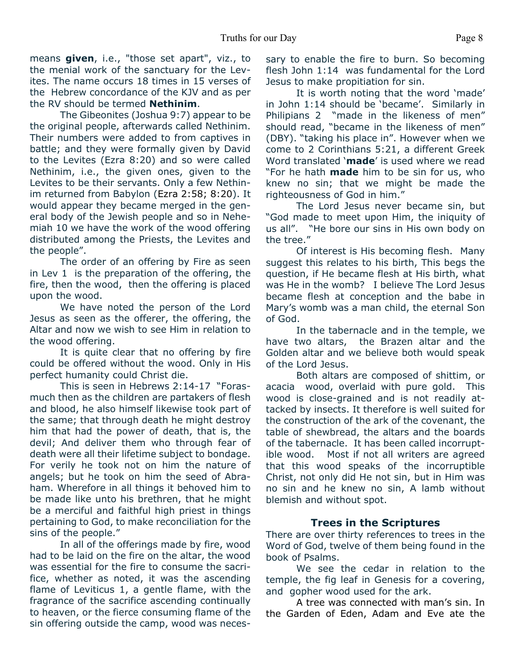means **given**, i.e., "those set apart", viz., to the menial work of the sanctuary for the Levites. The name occurs 18 times in 15 verses of the Hebrew concordance of the KJV and as per the RV should be termed **Nethinim**.

 The Gibeonites (Joshua 9:7) appear to be the original people, afterwards called Nethinim. Their numbers were added to from captives in battle; and they were formally given by David to the Levites (Ezra 8:20) and so were called Nethinim, i.e., the given ones, given to the Levites to be their servants. Only a few Nethinim returned from Babylon (Ezra 2:58; 8:20). It would appear they became merged in the general body of the Jewish people and so in Nehemiah 10 we have the work of the wood offering distributed among the Priests, the Levites and the people".

 The order of an offering by Fire as seen in Lev 1 is the preparation of the offering, the fire, then the wood, then the offering is placed upon the wood.

 We have noted the person of the Lord Jesus as seen as the offerer, the offering, the Altar and now we wish to see Him in relation to the wood offering.

 It is quite clear that no offering by fire could be offered without the wood. Only in His perfect humanity could Christ die.

 This is seen in Hebrews 2:14-17 "Forasmuch then as the children are partakers of flesh and blood, he also himself likewise took part of the same; that through death he might destroy him that had the power of death, that is, the devil; And deliver them who through fear of death were all their lifetime subject to bondage. For verily he took not on him the nature of angels; but he took on him the seed of Abraham. Wherefore in all things it behoved him to be made like unto his brethren, that he might be a merciful and faithful high priest in things pertaining to God, to make reconciliation for the sins of the people."

 In all of the offerings made by fire, wood had to be laid on the fire on the altar, the wood was essential for the fire to consume the sacrifice, whether as noted, it was the ascending flame of Leviticus 1, a gentle flame, with the fragrance of the sacrifice ascending continually to heaven, or the fierce consuming flame of the sin offering outside the camp, wood was necessary to enable the fire to burn. So becoming flesh John 1:14 was fundamental for the Lord Jesus to make propitiation for sin.

 It is worth noting that the word 'made' in John 1:14 should be 'became'. Similarly in Philipians 2 "made in the likeness of men" should read, "became in the likeness of men" (DBY). "taking his place in". However when we come to 2 Corinthians 5:21, a different Greek Word translated '**made**' is used where we read "For he hath **made** him to be sin for us, who knew no sin; that we might be made the righteousness of God in him."

 The Lord Jesus never became sin, but "God made to meet upon Him, the iniquity of us all". "He bore our sins in His own body on the tree."

 Of interest is His becoming flesh. Many suggest this relates to his birth, This begs the question, if He became flesh at His birth, what was He in the womb? I believe The Lord Jesus became flesh at conception and the babe in Mary's womb was a man child, the eternal Son of God.

 In the tabernacle and in the temple, we have two altars, the Brazen altar and the Golden altar and we believe both would speak of the Lord Jesus.

 Both altars are composed of shittim, or acacia wood, overlaid with pure gold. This wood is close-grained and is not readily attacked by insects. It therefore is well suited for the construction of the ark of the covenant, the table of shewbread, the altars and the boards of the tabernacle. It has been called incorruptible wood. Most if not all writers are agreed that this wood speaks of the incorruptible Christ, not only did He not sin, but in Him was no sin and he knew no sin, A lamb without blemish and without spot.

### **Trees in the Scriptures**

There are over thirty references to trees in the Word of God, twelve of them being found in the book of Psalms.

We see the cedar in relation to the temple, the fig leaf in Genesis for a covering, and gopher wood used for the ark.

 A tree was connected with man's sin. In the Garden of Eden, Adam and Eve ate the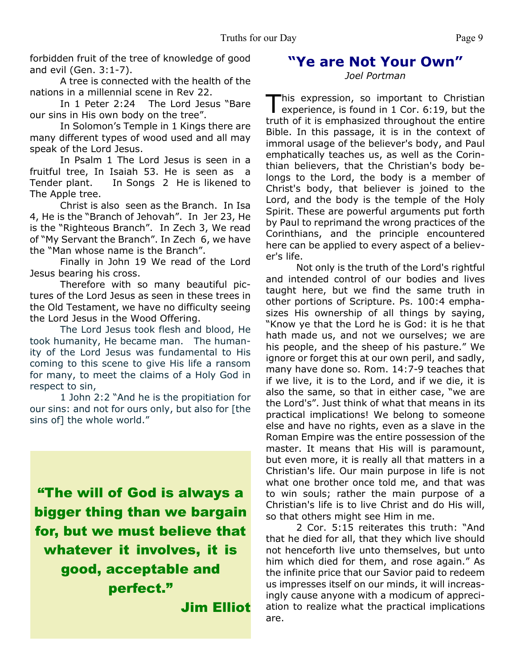forbidden fruit of the tree of knowledge of good and evil (Gen. 3:1-7).

 A tree is connected with the health of the nations in a millennial scene in Rev 22.

 In 1 Peter 2:24 The Lord Jesus "Bare our sins in His own body on the tree".

 In Solomon's Temple in 1 Kings there are many different types of wood used and all may speak of the Lord Jesus.

 In Psalm 1 The Lord Jesus is seen in a fruitful tree, In Isaiah 53. He is seen as a Tender plant. In Songs 2 He is likened to The Apple tree.

 Christ is also seen as the Branch. In Isa 4, He is the "Branch of Jehovah". In Jer 23, He is the "Righteous Branch". In Zech 3, We read of "My Servant the Branch". In Zech 6, we have the "Man whose name is the Branch".

 Finally in John 19 We read of the Lord Jesus bearing his cross.

 Therefore with so many beautiful pictures of the Lord Jesus as seen in these trees in the Old Testament, we have no difficulty seeing the Lord Jesus in the Wood Offering.

 The Lord Jesus took flesh and blood, He took humanity, He became man. The humanity of the Lord Jesus was fundamental to His coming to this scene to give His life a ransom for many, to meet the claims of a Holy God in respect to sin,

 1 John 2:2 "And he is the propitiation for our sins: and not for ours only, but also for [the sins of] the whole world."

**"The will of God is always a bigger thing than we bargain for, but we must believe that whatever it involves, it is good, acceptable and perfect."**

**Jim Elliot**

# **"Ye are Not Your Own"**

*Joel Portman*

This expression, so important to Christian<br>experience, is found in 1 Cor. 6:19, but the his expression, so important to Christian truth of it is emphasized throughout the entire Bible. In this passage, it is in the context of immoral usage of the believer's body, and Paul emphatically teaches us, as well as the Corinthian believers, that the Christian's body belongs to the Lord, the body is a member of Christ's body, that believer is joined to the Lord, and the body is the temple of the Holy Spirit. These are powerful arguments put forth by Paul to reprimand the wrong practices of the Corinthians, and the principle encountered here can be applied to every aspect of a believer's life.

 Not only is the truth of the Lord's rightful and intended control of our bodies and lives taught here, but we find the same truth in other portions of Scripture. Ps. 100:4 emphasizes His ownership of all things by saying, "Know ye that the Lord he is God: it is he that hath made us, and not we ourselves; we are his people, and the sheep of his pasture." We ignore or forget this at our own peril, and sadly, many have done so. Rom. 14:7-9 teaches that if we live, it is to the Lord, and if we die, it is also the same, so that in either case, "we are the Lord's". Just think of what that means in its practical implications! We belong to someone else and have no rights, even as a slave in the Roman Empire was the entire possession of the master. It means that His will is paramount, but even more, it is really all that matters in a Christian's life. Our main purpose in life is not what one brother once told me, and that was to win souls; rather the main purpose of a Christian's life is to live Christ and do His will, so that others might see Him in me.

 2 Cor. 5:15 reiterates this truth: "And that he died for all, that they which live should not henceforth live unto themselves, but unto him which died for them, and rose again." As the infinite price that our Savior paid to redeem us impresses itself on our minds, it will increasingly cause anyone with a modicum of appreciation to realize what the practical implications are.